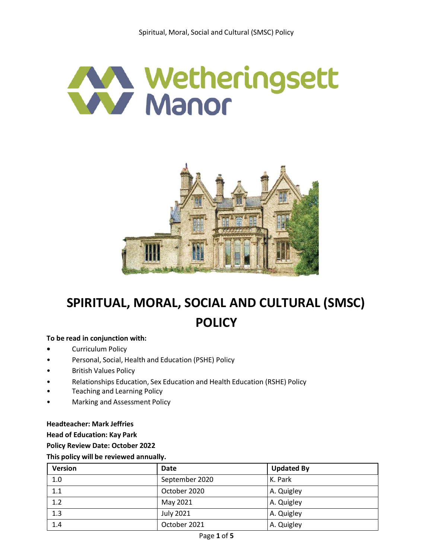



# **SPIRITUAL, MORAL, SOCIAL AND CULTURAL (SMSC) POLICY**

#### **To be read in conjunction with:**

- **•** Curriculum Policy
- Personal, Social, Health and Education (PSHE) Policy
- **British Values Policy**
- Relationships Education, Sex Education and Health Education (RSHE) Policy
- Teaching and Learning Policy
- Marking and Assessment Policy

#### **Headteacher: Mark Jeffries**

**Head of Education: Kay Park**

**Policy Review Date: October 2022** 

#### **This policy will be reviewed annually.**

| <b>Version</b> | Date             | <b>Updated By</b> |
|----------------|------------------|-------------------|
| 1.0            | September 2020   | K. Park           |
| 1.1            | October 2020     | A. Quigley        |
| 1.2            | May 2021         | A. Quigley        |
| 1.3            | <b>July 2021</b> | A. Quigley        |
| 1.4            | October 2021     | A. Quigley        |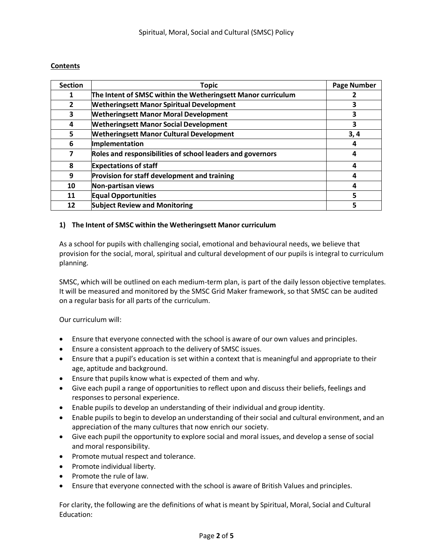# **Contents**

| <b>Section</b> | <b>Topic</b>                                                 | <b>Page Number</b> |
|----------------|--------------------------------------------------------------|--------------------|
| 1              | The Intent of SMSC within the Wetheringsett Manor curriculum |                    |
| $\overline{2}$ | <b>Wetheringsett Manor Spiritual Development</b>             | 3                  |
| 3              | <b>Wetheringsett Manor Moral Development</b>                 | 3                  |
| 4              | <b>Wetheringsett Manor Social Development</b>                | 3                  |
| 5              | <b>Wetheringsett Manor Cultural Development</b>              | 3,4                |
| 6              | Implementation                                               | 4                  |
| 7              | Roles and responsibilities of school leaders and governors   | 4                  |
| 8              | <b>Expectations of staff</b>                                 | 4                  |
| 9              | Provision for staff development and training                 | 4                  |
| 10             | Non-partisan views                                           | 4                  |
| 11             | <b>Equal Opportunities</b>                                   | 5                  |
| 12             | <b>Subject Review and Monitoring</b>                         | 5                  |

# **1) The Intent of SMSC within the Wetheringsett Manor curriculum**

As a school for pupils with challenging social, emotional and behavioural needs, we believe that provision for the social, moral, spiritual and cultural development of our pupils is integral to curriculum planning.

SMSC, which will be outlined on each medium-term plan, is part of the daily lesson objective templates. It will be measured and monitored by the SMSC Grid Maker framework, so that SMSC can be audited on a regular basis for all parts of the curriculum.

Our curriculum will:

- Ensure that everyone connected with the school is aware of our own values and principles.
- Ensure a consistent approach to the delivery of SMSC issues.
- Ensure that a pupil's education is set within a context that is meaningful and appropriate to their age, aptitude and background.
- Ensure that pupils know what is expected of them and why.
- Give each pupil a range of opportunities to reflect upon and discuss their beliefs, feelings and responses to personal experience.
- Enable pupils to develop an understanding of their individual and group identity.
- Enable pupils to begin to develop an understanding of their social and cultural environment, and an appreciation of the many cultures that now enrich our society.
- Give each pupil the opportunity to explore social and moral issues, and develop a sense ofsocial and moral responsibility.
- Promote mutual respect and tolerance.
- Promote individual liberty.
- Promote the rule of law.
- Ensure that everyone connected with the school is aware of British Values and principles.

For clarity, the following are the definitions of what is meant by Spiritual, Moral, Social and Cultural Education: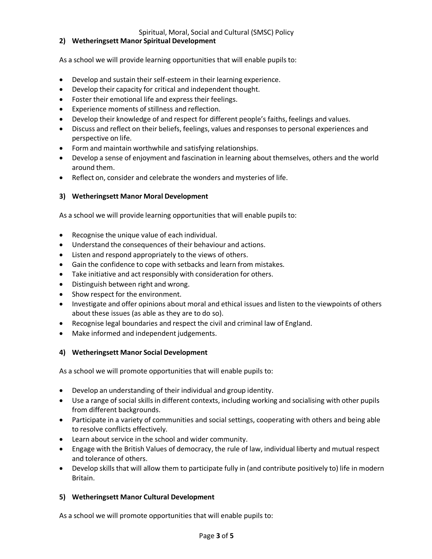Spiritual, Moral, Social and Cultural (SMSC) Policy

#### **2) Wetheringsett Manor Spiritual Development**

As a school we will provide learning opportunities that will enable pupils to:

- Develop and sustain their self-esteem in their learning experience.
- Develop their capacity for critical and independent thought.
- Foster their emotional life and express their feelings.
- Experience moments of stillness and reflection.
- Develop their knowledge of and respect for different people's faiths, feelings and values.
- Discuss and reflect on their beliefs, feelings, values and responses to personal experiences and perspective on life.
- Form and maintain worthwhile and satisfying relationships.
- Develop a sense of enjoyment and fascination in learning about themselves, others and the world around them.
- Reflect on, consider and celebrate the wonders and mysteries of life.

#### **3) Wetheringsett Manor Moral Development**

As a school we will provide learning opportunities that will enable pupils to:

- Recognise the unique value of each individual.
- Understand the consequences of their behaviour and actions.
- Listen and respond appropriately to the views of others.
- Gain the confidence to cope with setbacks and learn from mistakes.
- Take initiative and act responsibly with consideration for others.
- Distinguish between right and wrong.
- Show respect for the environment.
- Investigate and offer opinions about moral and ethical issues and listen to the viewpoints of others about these issues (as able as they are to do so).
- Recognise legal boundaries and respect the civil and criminal law of England.
- Make informed and independent judgements.

#### **4) Wetheringsett Manor Social Development**

As a school we will promote opportunities that will enable pupils to:

- Develop an understanding of their individual and group identity.
- Use a range of social skills in different contexts, including working and socialising with other pupils from different backgrounds.
- Participate in a variety of communities and social settings, cooperating with others and being able to resolve conflicts effectively.
- Learn about service in the school and wider community.
- Engage with the British Values of democracy, the rule of law, individual liberty and mutual respect and tolerance of others.
- Develop skills that will allow them to participate fully in (and contribute positively to) life in modern Britain.

# **5) Wetheringsett Manor Cultural Development**

As a school we will promote opportunities that will enable pupils to: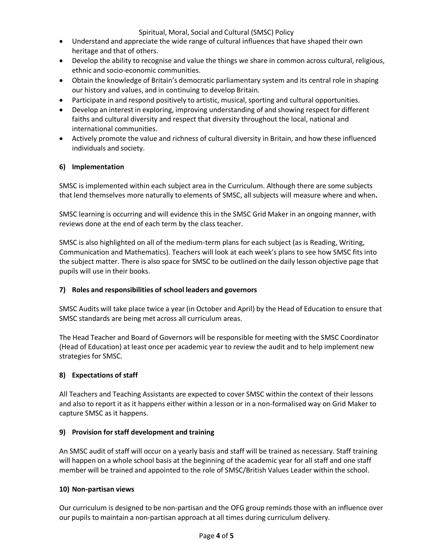Spiritual, Moral, Social and Cultural (SMSC) Policy

- Understand and appreciate the wide range of cultural influences that have shaped their own heritage and that of others.
- Develop the ability to recognise and value the things we share in common across cultural, religious, ethnic and socio-economic communities.
- Obtain the knowledge of Britain's democratic parliamentary system and its central role in shaping our history and values, and in continuing to develop Britain.
- Participate in and respond positively to artistic, musical, sporting and cultural opportunities.
- Develop an interest in exploring, improving understanding of and showing respect for different faiths and cultural diversity and respect that diversity throughout the local, national and international communities.
- Actively promote the value and richness of cultural diversity in Britain, and how these influenced individuals and society.

# **6) Implementation**

SMSC is implemented within each subject area in the Curriculum. Although there are some subjects that lend themselves more naturally to elements of SMSC, all subjects will measure where and when**.**

SMSC learning is occurring and will evidence this in the SMSC Grid Maker in an ongoing manner, with reviews done at the end of each term by the class teacher.

SMSC is also highlighted on all of the medium-term plans for each subject (as is Reading, Writing, Communication and Mathematics). Teachers will look at each week's plans to see how SMSC fits into the subject matter. There is also space for SMSC to be outlined on the daily lesson objective page that pupils will use in their books.

# **7) Roles and responsibilities of school leaders and governors**

SMSC Audits will take place twice a year (in October and April) by the Head of Education to ensure that SMSC standards are being met across all curriculum areas.

The Head Teacher and Board of Governors will be responsible for meeting with the SMSC Coordinator (Head of Education) at least once per academic year to review the audit and to help implement new strategies for SMSC.

# **8) Expectations of staff**

All Teachers and Teaching Assistants are expected to cover SMSC within the context of their lessons and also to report it as it happens either within a lesson or in a non-formalised way on Grid Maker to capture SMSC as it happens.

# **9) Provision forstaff development and training**

An SMSC audit of staff will occur on a yearly basis and staff will be trained as necessary. Staff training will happen on a whole school basis at the beginning of the academic year for all staff and one staff member will be trained and appointed to the role of SMSC/British Values Leader within the school.

# **10) Non-partisan views**

Our curriculum is designed to be non-partisan and the OFG group reminds those with an influence over our pupils to maintain a non-partisan approach at all times during curriculum delivery.